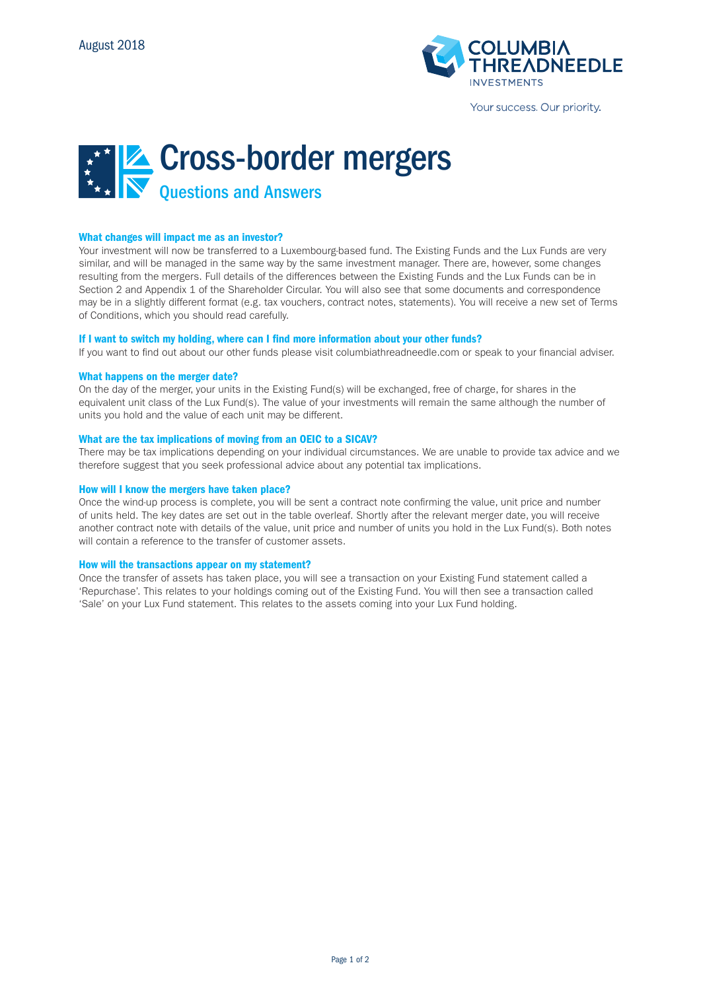

# Cross-border mergers **W** Questions and Answers

# What changes will impact me as an investor?

Your investment will now be transferred to a Luxembourg-based fund. The Existing Funds and the Lux Funds are very similar, and will be managed in the same way by the same investment manager. There are, however, some changes resulting from the mergers. Full details of the differences between the Existing Funds and the Lux Funds can be in Section 2 and Appendix 1 of the Shareholder Circular. You will also see that some documents and correspondence may be in a slightly different format (e.g. tax vouchers, contract notes, statements). You will receive a new set of Terms of Conditions, which you should read carefully.

# If I want to switch my holding, where can I find more information about your other funds?

If you want to find out about our other funds please visit columbiathreadneedle.com or speak to your financial adviser.

# What happens on the merger date?

On the day of the merger, your units in the Existing Fund(s) will be exchanged, free of charge, for shares in the equivalent unit class of the Lux Fund(s). The value of your investments will remain the same although the number of units you hold and the value of each unit may be different.

# What are the tax implications of moving from an OEIC to a SICAV?

There may be tax implications depending on your individual circumstances. We are unable to provide tax advice and we therefore suggest that you seek professional advice about any potential tax implications.

# How will I know the mergers have taken place?

Once the wind-up process is complete, you will be sent a contract note confirming the value, unit price and number of units held. The key dates are set out in the table overleaf. Shortly after the relevant merger date, you will receive another contract note with details of the value, unit price and number of units you hold in the Lux Fund(s). Both notes will contain a reference to the transfer of customer assets.

#### How will the transactions appear on my statement?

Once the transfer of assets has taken place, you will see a transaction on your Existing Fund statement called a 'Repurchase'. This relates to your holdings coming out of the Existing Fund. You will then see a transaction called 'Sale' on your Lux Fund statement. This relates to the assets coming into your Lux Fund holding.